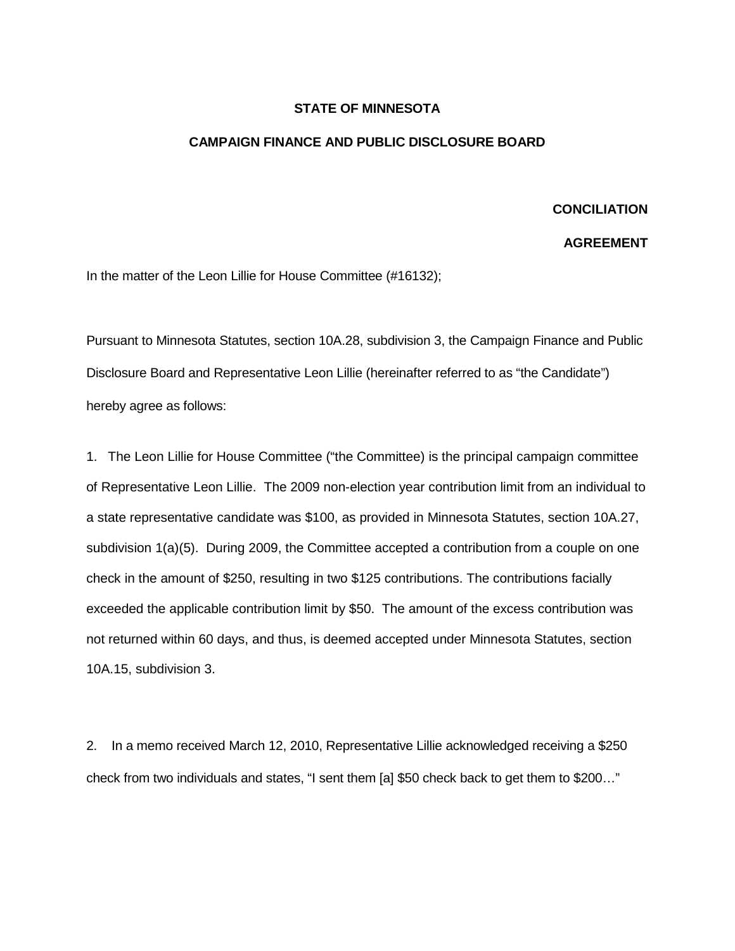## **STATE OF MINNESOTA**

## **CAMPAIGN FINANCE AND PUBLIC DISCLOSURE BOARD**

## **CONCILIATION**

## **AGREEMENT**

In the matter of the Leon Lillie for House Committee (#16132);

Pursuant to Minnesota Statutes, section 10A.28, subdivision 3, the Campaign Finance and Public Disclosure Board and Representative Leon Lillie (hereinafter referred to as "the Candidate") hereby agree as follows:

1. The Leon Lillie for House Committee ("the Committee) is the principal campaign committee of Representative Leon Lillie. The 2009 non-election year contribution limit from an individual to a state representative candidate was \$100, as provided in Minnesota Statutes, section 10A.27, subdivision 1(a)(5). During 2009, the Committee accepted a contribution from a couple on one check in the amount of \$250, resulting in two \$125 contributions. The contributions facially exceeded the applicable contribution limit by \$50. The amount of the excess contribution was not returned within 60 days, and thus, is deemed accepted under Minnesota Statutes, section 10A.15, subdivision 3.

2. In a memo received March 12, 2010, Representative Lillie acknowledged receiving a \$250 check from two individuals and states, "I sent them [a] \$50 check back to get them to \$200…"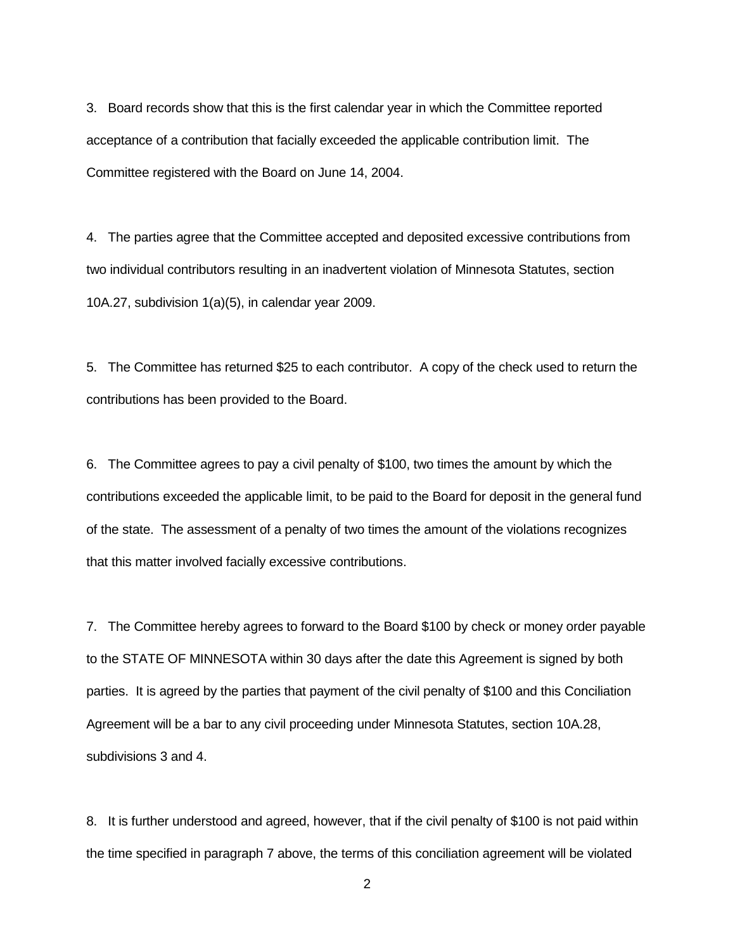3. Board records show that this is the first calendar year in which the Committee reported acceptance of a contribution that facially exceeded the applicable contribution limit. The Committee registered with the Board on June 14, 2004.

4. The parties agree that the Committee accepted and deposited excessive contributions from two individual contributors resulting in an inadvertent violation of Minnesota Statutes, section 10A.27, subdivision 1(a)(5), in calendar year 2009.

5. The Committee has returned \$25 to each contributor. A copy of the check used to return the contributions has been provided to the Board.

6. The Committee agrees to pay a civil penalty of \$100, two times the amount by which the contributions exceeded the applicable limit, to be paid to the Board for deposit in the general fund of the state. The assessment of a penalty of two times the amount of the violations recognizes that this matter involved facially excessive contributions.

7. The Committee hereby agrees to forward to the Board \$100 by check or money order payable to the STATE OF MINNESOTA within 30 days after the date this Agreement is signed by both parties. It is agreed by the parties that payment of the civil penalty of \$100 and this Conciliation Agreement will be a bar to any civil proceeding under Minnesota Statutes, section 10A.28, subdivisions 3 and 4.

8. It is further understood and agreed, however, that if the civil penalty of \$100 is not paid within the time specified in paragraph 7 above, the terms of this conciliation agreement will be violated